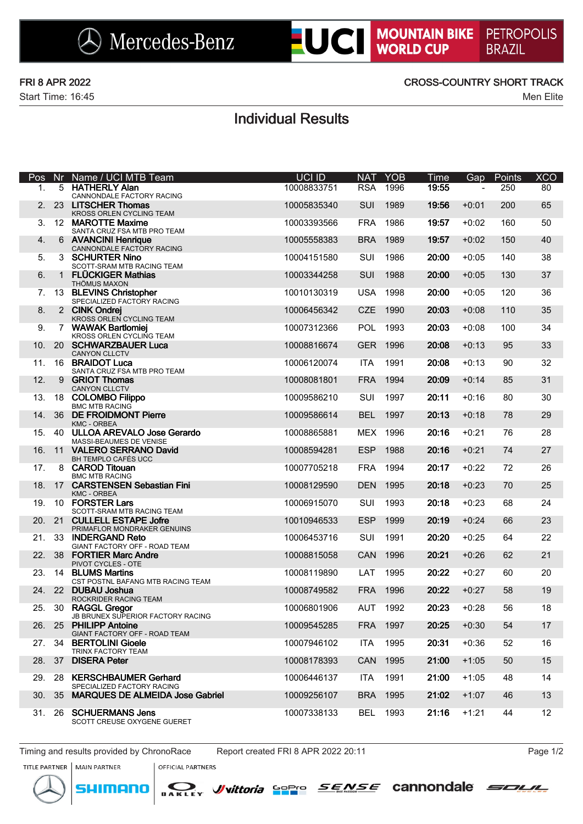

Start Time: 16:45 Men Elite

### FRI 8 APR 2022 CROSS-COUNTRY SHORT TRACK

## Individual Results

| Pos | Nr.          | Name / UCI MTB Team                                       | UCI ID      | <b>NAT</b> | <b>YOB</b> | <b>Time</b>    | Gap     | Points | <b>XCO</b> |
|-----|--------------|-----------------------------------------------------------|-------------|------------|------------|----------------|---------|--------|------------|
| 1.  | 5            | <b>HATHERLY Alan</b><br>CANNONDALE FACTORY RACING         | 10008833751 | <b>RSA</b> | 1996       | 19:55          |         | 250    | 80         |
| 2.  | 23           | <b>LITSCHER Thomas</b><br>KROSS ORLEN CYCLING TEAM        | 10005835340 | SUI        | 1989       | 19:56          | $+0:01$ | 200    | 65         |
| 3.  |              | 12 MAROTTE Maxime<br>SANTA CRUZ FSA MTB PRO TEAM          | 10003393566 | <b>FRA</b> | 1986       | 19:57          | $+0:02$ | 160    | 50         |
| 4.  | 6            | <b>AVANCINI Henrique</b><br>CANNONDALE FACTORY RACING     | 10005558383 | <b>BRA</b> | 1989       | 19:57          | $+0:02$ | 150    | 40         |
| 5.  | 3            | <b>SCHURTER Nino</b><br>SCOTT-SRAM MTB RACING TEAM        | 10004151580 | SUI        | 1986       | 20:00          | $+0:05$ | 140    | 38         |
| 6.  | $\mathbf{1}$ | <b>FLÜCKIGER Mathias</b><br><b>THÖMUS MAXON</b>           | 10003344258 | SUI        | 1988       | 20:00          | $+0:05$ | 130    | 37         |
| 7.  |              | 13 BLEVINS Christopher<br>SPECIALIZED FACTORY RACING      | 10010130319 | <b>USA</b> | 1998       | 20:00          | $+0:05$ | 120    | 36         |
| 8.  |              | 2 CINK Ondrej<br>KROSS ORLEN CYCLING TEAM                 | 10006456342 | <b>CZE</b> | 1990       | 20:03          | $+0:08$ | 110    | 35         |
| 9.  | $7^{\circ}$  | <b>WAWAK Bartlomiej</b><br>KROSS ORLEN CYCLING TEAM       | 10007312366 | <b>POL</b> | 1993       | 20:03          | $+0:08$ | 100    | 34         |
| 10. |              | 20 SCHWARZBAUER Luca<br><b>CANYON CLLCTV</b>              | 10008816674 | <b>GER</b> | 1996       | 20:08          | $+0:13$ | 95     | 33         |
| 11. |              | 16 BRAIDOT Luca<br>SANTA CRUZ FSA MTB PRO TEAM            | 10006120074 | <b>ITA</b> | 1991       | 20:08          | $+0:13$ | 90     | 32         |
| 12. | 9            | <b>GRIOT Thomas</b><br><b>CANYON CLLCTV</b>               | 10008081801 | <b>FRA</b> | 1994       | 20:09          | $+0:14$ | 85     | 31         |
| 13. | 18           | <b>COLOMBO Filippo</b><br><b>BMC MTB RACING</b>           | 10009586210 | SUI        | 1997       | 20:11          | $+0:16$ | 80     | 30         |
| 14. | 36           | <b>DE FROIDMONT Pierre</b><br><b>KMC - ORBEA</b>          | 10009586614 | <b>BEL</b> | 1997       | 20:13          | $+0:18$ | 78     | 29         |
| 15. |              | 40 ULLOA AREVALO Jose Gerardo<br>MASSI-BEAUMES DE VENISE  | 10008865881 | <b>MEX</b> | 1996       | 20:16          | $+0:21$ | 76     | 28         |
| 16. |              | 11 VALERO SERRANO David<br>BH TEMPLO CAFÉS UCC            | 10008594281 | <b>ESP</b> | 1988       | 20:16          | $+0:21$ | 74     | 27         |
| 17. |              | 8 CAROD Titouan<br><b>BMC MTB RACING</b>                  | 10007705218 | <b>FRA</b> | 1994       | 20:17          | $+0:22$ | 72     | 26         |
| 18. | 17           | <b>CARSTENSEN Sebastian Fini</b><br><b>KMC - ORBEA</b>    | 10008129590 | <b>DEN</b> | 1995       | 20:18          | $+0:23$ | 70     | 25         |
| 19. |              | 10 FORSTER Lars<br>SCOTT-SRAM MTB RACING TEAM             | 10006915070 | SUI        | 1993       | 20:18          | $+0:23$ | 68     | 24         |
| 20. |              | 21 CULLELL ESTAPE Jofre<br>PRIMAFLOR MONDRAKER GENUINS    | 10010946533 | <b>ESP</b> | 1999       | 20:19          | $+0:24$ | 66     | 23         |
| 21. |              | 33 INDERGAND Reto<br>GIANT FACTORY OFF - ROAD TEAM        | 10006453716 | SUI        | 1991       | 20:20          | $+0:25$ | 64     | 22         |
| 22. |              | 38 FORTIER Marc Andre<br>PIVOT CYCLES - OTE               | 10008815058 | CAN        | 1996       | 20:21          | $+0:26$ | 62     | 21         |
| 23. |              | 14 BLUMS Martins<br>CST POSTNL BAFANG MTB RACING TEAM     | 10008119890 | LAT        | 1995       | 20:22          | $+0:27$ | 60     | 20         |
| 24. |              | 22 DUBAU Joshua<br>ROCKRIDER RACING TEAM                  | 10008749582 | <b>FRA</b> | 1996       | 20:22          | $+0:27$ | 58     | 19         |
| 25. |              | 30 RAGGL Gregor<br>JB BRUNEX SUPERIOR FACTORY RACING      | 10006801906 |            | AUT 1992   | $20:23 + 0:28$ |         | 56     | 18         |
|     |              | 26. 25 PHILIPP Antoine<br>GIANT FACTORY OFF - ROAD TEAM   | 10009545285 |            | FRA 1997   | 20:25          | $+0:30$ | 54     | 17         |
|     |              | 27. 34 BERTOLINI Gioele<br>TRINX FACTORY TEAM             | 10007946102 | ITA        | 1995       | 20:31          | $+0:36$ | 52     | 16         |
|     | 28. 37       | <b>DISERA Peter</b>                                       | 10008178393 | CAN        | 1995       | 21:00          | $+1:05$ | 50     | 15         |
| 29. | -28          | <b>KERSCHBAUMER Gerhard</b><br>SPECIALIZED FACTORY RACING | 10006446137 | ITA        | 1991       | 21:00          | $+1:05$ | 48     | 14         |
| 30. | 35           | <b>MARQUES DE ALMEIDA Jose Gabriel</b>                    | 10009256107 |            | BRA 1995   | 21:02          | $+1:07$ | 46     | 13         |
| 31. | -26          | <b>SCHUERMANS Jens</b><br>SCOTT CREUSE OXYGENE GUERET     | 10007338133 |            | BEL 1993   | 21:16          | $+1:21$ | 44     | 12         |

Timing and results provided by ChronoRace Report created FRI 8 APR 2022 20:11 Page 1/2

nenn



**OFFICIAL PARTNERS** 

*J*/vittoria Sopro